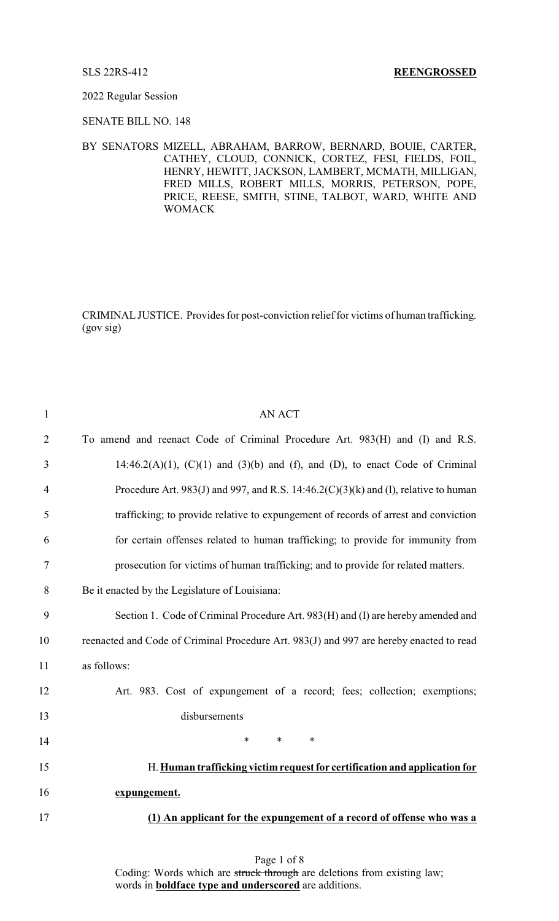## 2022 Regular Session

SENATE BILL NO. 148

BY SENATORS MIZELL, ABRAHAM, BARROW, BERNARD, BOUIE, CARTER, CATHEY, CLOUD, CONNICK, CORTEZ, FESI, FIELDS, FOIL, HENRY, HEWITT, JACKSON, LAMBERT, MCMATH, MILLIGAN, FRED MILLS, ROBERT MILLS, MORRIS, PETERSON, POPE, PRICE, REESE, SMITH, STINE, TALBOT, WARD, WHITE AND WOMACK

CRIMINALJUSTICE. Provides for post-conviction relief for victims of human trafficking. (gov sig)

| $\mathbf{1}$   | AN ACT                                                                                  |
|----------------|-----------------------------------------------------------------------------------------|
| $\overline{2}$ | To amend and reenact Code of Criminal Procedure Art. 983(H) and (I) and R.S.            |
| 3              | 14:46.2(A)(1), $(C)(1)$ and $(3)(b)$ and $(f)$ , and $(D)$ , to enact Code of Criminal  |
| $\overline{4}$ | Procedure Art. 983(J) and 997, and R.S. 14:46.2(C)(3)(k) and (1), relative to human     |
| 5              | trafficking; to provide relative to expungement of records of arrest and conviction     |
| 6              | for certain offenses related to human trafficking; to provide for immunity from         |
| 7              | prosecution for victims of human trafficking; and to provide for related matters.       |
| 8              | Be it enacted by the Legislature of Louisiana:                                          |
| 9              | Section 1. Code of Criminal Procedure Art. 983(H) and (I) are hereby amended and        |
| 10             | reenacted and Code of Criminal Procedure Art. 983(J) and 997 are hereby enacted to read |
| 11             | as follows:                                                                             |
| 12             | Art. 983. Cost of expungement of a record; fees; collection; exemptions;                |
| 13             | disbursements                                                                           |
| 14             | $\ast$<br>$\ast$<br>$\ast$                                                              |
| 15             | H. Human trafficking victim request for certification and application for               |
| 16             | expungement.                                                                            |
| 17             | (1) An applicant for the expungement of a record of offense who was a                   |
|                |                                                                                         |

Page 1 of 8 Coding: Words which are struck through are deletions from existing law; words in **boldface type and underscored** are additions.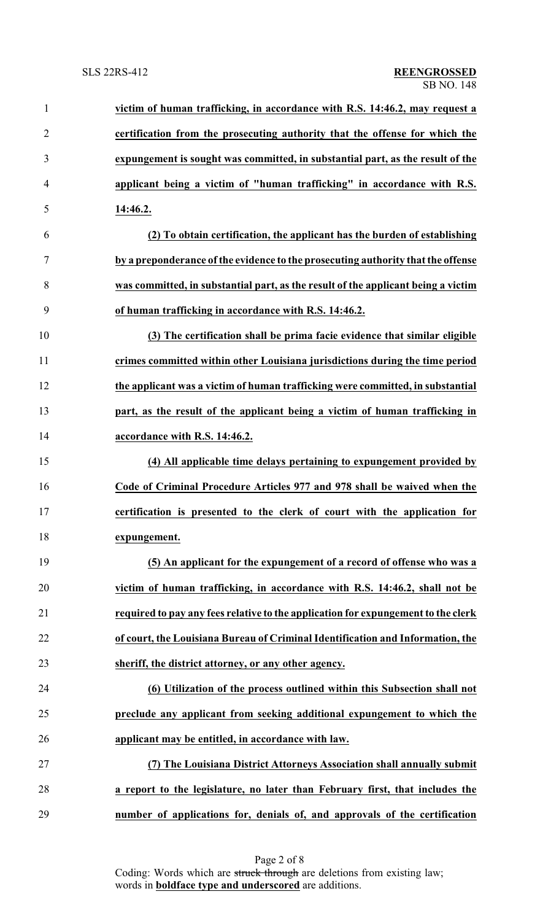| $\mathbf{1}$   | victim of human trafficking, in accordance with R.S. 14:46.2, may request a       |
|----------------|-----------------------------------------------------------------------------------|
| $\overline{2}$ | certification from the prosecuting authority that the offense for which the       |
| 3              | expungement is sought was committed, in substantial part, as the result of the    |
| $\overline{4}$ | applicant being a victim of "human trafficking" in accordance with R.S.           |
| 5              | 14:46.2.                                                                          |
| 6              | (2) To obtain certification, the applicant has the burden of establishing         |
| $\tau$         | by a preponderance of the evidence to the prosecuting authority that the offense  |
| 8              | was committed, in substantial part, as the result of the applicant being a victim |
| 9              | of human trafficking in accordance with R.S. 14:46.2.                             |
| 10             | (3) The certification shall be prima facie evidence that similar eligible         |
| 11             | crimes committed within other Louisiana jurisdictions during the time period      |
| 12             | the applicant was a victim of human trafficking were committed, in substantial    |
| 13             | part, as the result of the applicant being a victim of human trafficking in       |
| 14             | accordance with R.S. 14:46.2.                                                     |
| 15             | (4) All applicable time delays pertaining to expungement provided by              |
| 16             | Code of Criminal Procedure Articles 977 and 978 shall be waived when the          |
| 17             | certification is presented to the clerk of court with the application for         |
| 18             | expungement.                                                                      |
| 19             | (5) An applicant for the expungement of a record of offense who was a             |
| 20             | victim of human trafficking, in accordance with R.S. 14:46.2, shall not be        |
| 21             | required to pay any fees relative to the application for expungement to the clerk |
| 22             | of court, the Louisiana Bureau of Criminal Identification and Information, the    |
| 23             | sheriff, the district attorney, or any other agency.                              |
| 24             | (6) Utilization of the process outlined within this Subsection shall not          |
| 25             | preclude any applicant from seeking additional expungement to which the           |
| 26             | applicant may be entitled, in accordance with law.                                |
| 27             | (7) The Louisiana District Attorneys Association shall annually submit            |
| 28             | a report to the legislature, no later than February first, that includes the      |
| 29             | number of applications for, denials of, and approvals of the certification        |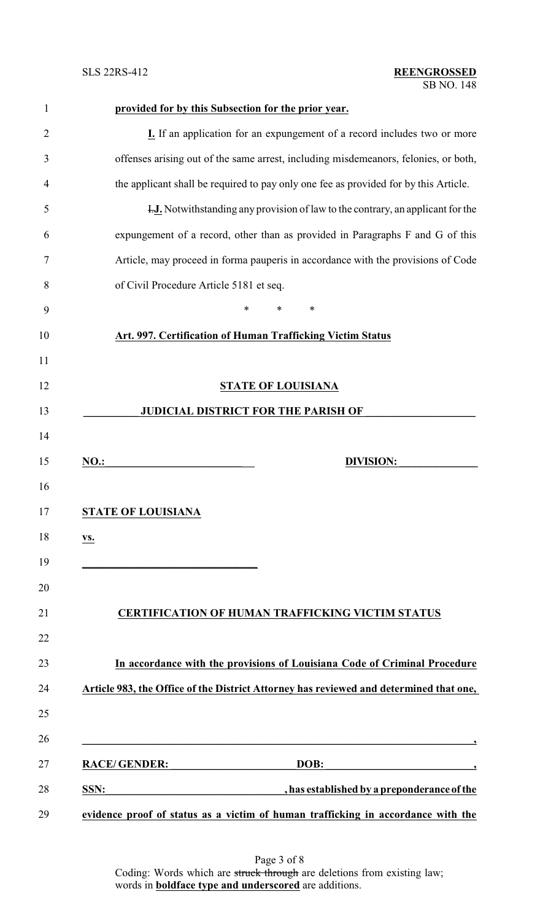|                                                                                        | <b>I.</b> If an application for an expungement of a record includes two or more                                                                      |
|----------------------------------------------------------------------------------------|------------------------------------------------------------------------------------------------------------------------------------------------------|
|                                                                                        | offenses arising out of the same arrest, including misdemeanors, felonies, or both,                                                                  |
|                                                                                        | the applicant shall be required to pay only one fee as provided for by this Article.                                                                 |
| <b>H.J.</b> Notwithstanding any provision of law to the contrary, an applicant for the |                                                                                                                                                      |
| expungement of a record, other than as provided in Paragraphs F and G of this          |                                                                                                                                                      |
| Article, may proceed in forma pauperis in accordance with the provisions of Code       |                                                                                                                                                      |
| of Civil Procedure Article 5181 et seq.                                                |                                                                                                                                                      |
|                                                                                        | $\ast$<br>∗<br>∗                                                                                                                                     |
|                                                                                        | Art. 997. Certification of Human Trafficking Victim Status                                                                                           |
|                                                                                        |                                                                                                                                                      |
|                                                                                        | <b>STATE OF LOUISIANA</b>                                                                                                                            |
|                                                                                        | <b>JUDICIAL DISTRICT FOR THE PARISH OF</b>                                                                                                           |
|                                                                                        |                                                                                                                                                      |
| <b>NO.:</b>                                                                            | <b>DIVISION:</b>                                                                                                                                     |
|                                                                                        |                                                                                                                                                      |
|                                                                                        |                                                                                                                                                      |
|                                                                                        | <b>STATE OF LOUISIANA</b>                                                                                                                            |
|                                                                                        |                                                                                                                                                      |
| <u>vs.</u>                                                                             |                                                                                                                                                      |
|                                                                                        | the control of the control of the control of the control of the control of                                                                           |
|                                                                                        |                                                                                                                                                      |
|                                                                                        | <b>CERTIFICATION OF HUMAN TRAFFICKING VICTIM STATUS</b>                                                                                              |
|                                                                                        |                                                                                                                                                      |
|                                                                                        |                                                                                                                                                      |
|                                                                                        | In accordance with the provisions of Louisiana Code of Criminal Procedure                                                                            |
|                                                                                        |                                                                                                                                                      |
|                                                                                        |                                                                                                                                                      |
|                                                                                        | Article 983, the Office of the District Attorney has reviewed and determined that one,                                                               |
|                                                                                        | <b>RACE/GENDER:</b><br>DOB:<br><u> 1950 - Johann John Barn, mars ar yw y cyfan y cyfan y cyfan y cyfan y cyfan y cyfan y cyfan y cyfan y cyfan y</u> |
|                                                                                        |                                                                                                                                                      |

**evidence proof of status as a victim of human trafficking in accordance with the**

Page 3 of 8 Coding: Words which are struck through are deletions from existing law; words in **boldface type and underscored** are additions.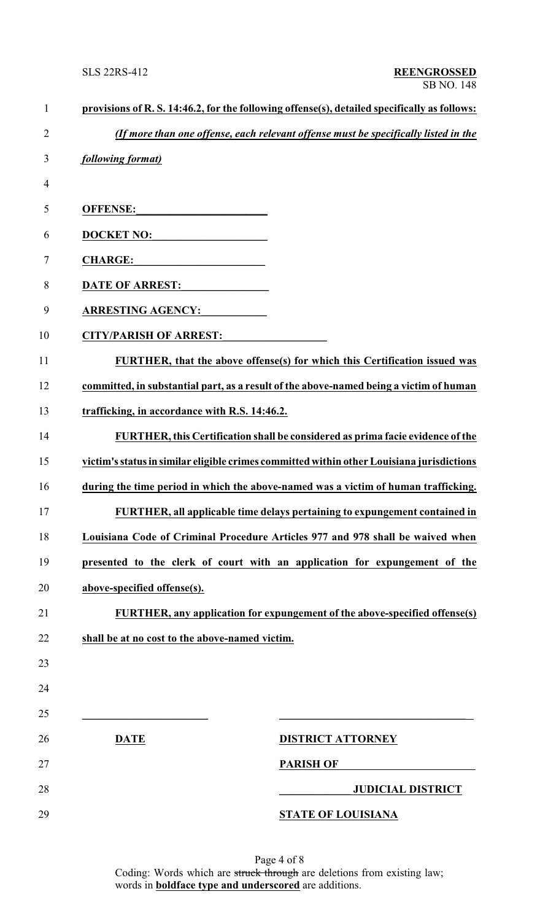| $\mathbf{1}$   | provisions of R. S. 14:46.2, for the following offense(s), detailed specifically as follows: |                                                                                     |
|----------------|----------------------------------------------------------------------------------------------|-------------------------------------------------------------------------------------|
| $\overline{2}$ |                                                                                              | (If more than one offense, each relevant offense must be specifically listed in the |
| 3              | following format)                                                                            |                                                                                     |
| 4              |                                                                                              |                                                                                     |
| 5              | <b>OFFENSE:</b>                                                                              |                                                                                     |
| 6              | <b>DOCKET NO:</b>                                                                            |                                                                                     |
| 7              | <b>CHARGE:</b>                                                                               |                                                                                     |
| 8              | <b>DATE OF ARREST:</b>                                                                       |                                                                                     |
| 9              | <b>ARRESTING AGENCY:</b>                                                                     |                                                                                     |
| 10             | <b>CITY/PARISH OF ARREST:</b>                                                                |                                                                                     |
| 11             |                                                                                              | FURTHER, that the above offense(s) for which this Certification issued was          |
| 12             | committed, in substantial part, as a result of the above-named being a victim of human       |                                                                                     |
| 13             | trafficking, in accordance with R.S. 14:46.2.                                                |                                                                                     |
| 14             |                                                                                              | FURTHER, this Certification shall be considered as prima facie evidence of the      |
| 15             | victim's status in similar eligible crimes committed within other Louisiana jurisdictions    |                                                                                     |
| 16             | during the time period in which the above-named was a victim of human trafficking.           |                                                                                     |
| 17             |                                                                                              | FURTHER, all applicable time delays pertaining to expungement contained in          |
| 18             | Louisiana Code of Criminal Procedure Articles 977 and 978 shall be waived when               |                                                                                     |
| 19             | presented to the clerk of court with an application for expungement of the                   |                                                                                     |
| 20             | above-specified offense(s).                                                                  |                                                                                     |
| 21             |                                                                                              | <b>FURTHER, any application for expungement of the above-specified offense(s)</b>   |
| 22             | shall be at no cost to the above-named victim.                                               |                                                                                     |
| 23             |                                                                                              |                                                                                     |
| 24             |                                                                                              |                                                                                     |
| 25             |                                                                                              |                                                                                     |
| 26             | <b>DATE</b>                                                                                  | <b>DISTRICT ATTORNEY</b>                                                            |
| 27             |                                                                                              | <b>PARISH OF</b>                                                                    |
| 28             |                                                                                              | <b>JUDICIAL DISTRICT</b>                                                            |
| 29             |                                                                                              | <b>STATE OF LOUISIANA</b>                                                           |

Page 4 of 8 Coding: Words which are struck through are deletions from existing law; words in **boldface type and underscored** are additions.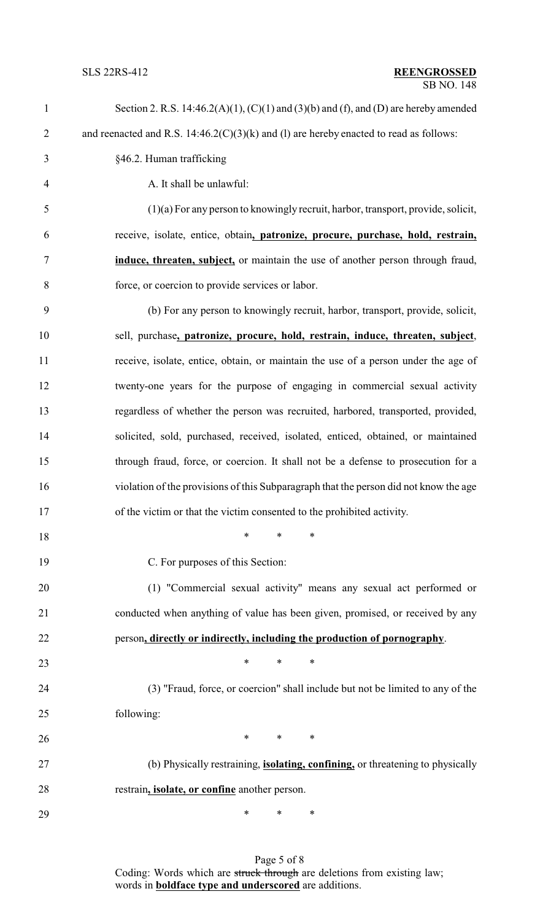| 1              | Section 2. R.S. $14:46.2(A)(1)$ , $(C)(1)$ and $(3)(b)$ and $(f)$ , and $(D)$ are hereby amended |
|----------------|--------------------------------------------------------------------------------------------------|
| $\overline{2}$ | and reenacted and R.S. $14:46.2(C)(3)(k)$ and (1) are hereby enacted to read as follows:         |
| 3              | §46.2. Human trafficking                                                                         |
| $\overline{4}$ | A. It shall be unlawful:                                                                         |
| 5              | $(1)(a)$ For any person to knowingly recruit, harbor, transport, provide, solicit,               |
| 6              | receive, isolate, entice, obtain, patronize, procure, purchase, hold, restrain,                  |
| $\tau$         | induce, threaten, subject, or maintain the use of another person through fraud,                  |
| 8              | force, or coercion to provide services or labor.                                                 |
| 9              | (b) For any person to knowingly recruit, harbor, transport, provide, solicit,                    |
| 10             | sell, purchase, patronize, procure, hold, restrain, induce, threaten, subject,                   |
| 11             | receive, isolate, entice, obtain, or maintain the use of a person under the age of               |
| 12             | twenty-one years for the purpose of engaging in commercial sexual activity                       |
| 13             | regardless of whether the person was recruited, harbored, transported, provided,                 |
| 14             | solicited, sold, purchased, received, isolated, enticed, obtained, or maintained                 |
| 15             | through fraud, force, or coercion. It shall not be a defense to prosecution for a                |
| 16             | violation of the provisions of this Subparagraph that the person did not know the age            |
| 17             | of the victim or that the victim consented to the prohibited activity.                           |
| 18             | $\ast$<br>∗<br>∗                                                                                 |
| 19             | C. For purposes of this Section:                                                                 |
| 20             | (1) "Commercial sexual activity" means any sexual act performed or                               |
| 21             | conducted when anything of value has been given, promised, or received by any                    |
| 22             | person, directly or indirectly, including the production of pornography.                         |
| 23             | $\ast$<br>$\ast$<br>∗                                                                            |
| 24             | (3) "Fraud, force, or coercion" shall include but not be limited to any of the                   |
| 25             | following:                                                                                       |
| 26             | $\ast$<br>$\ast$<br>∗                                                                            |
| 27             | (b) Physically restraining, <i>isolating, confining, or threatening to physically</i>            |
| 28             | restrain, <i>isolate</i> , or confine another person.                                            |
| 29             | ∗<br>∗<br>∗                                                                                      |

Page 5 of 8 Coding: Words which are struck through are deletions from existing law; words in **boldface type and underscored** are additions.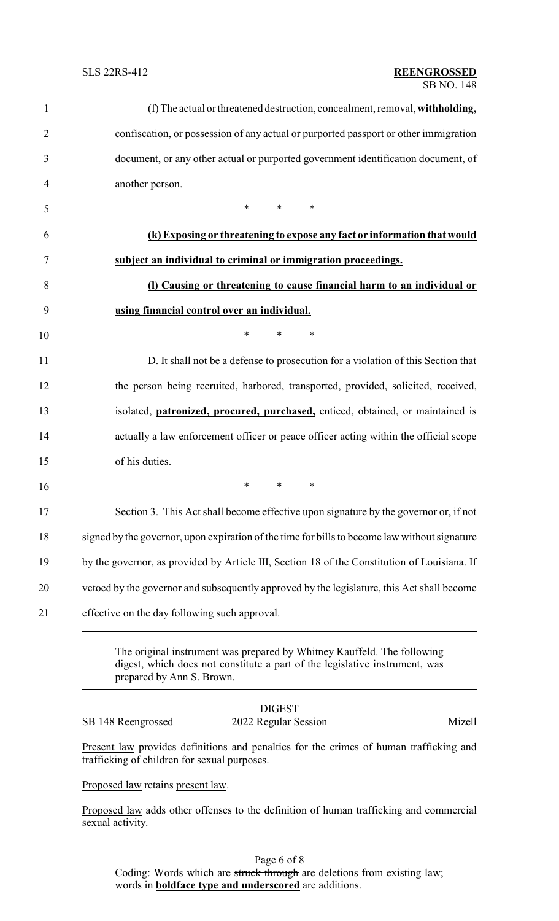| (f) The actual or threatened destruction, concealment, removal, withholding,                                                  |
|-------------------------------------------------------------------------------------------------------------------------------|
| confiscation, or possession of any actual or purported passport or other immigration                                          |
| document, or any other actual or purported government identification document, of                                             |
| another person.                                                                                                               |
| $*$ and $*$<br>$\ast$<br>$\ast$                                                                                               |
| (k) Exposing or threatening to expose any fact or information that would                                                      |
| subject an individual to criminal or immigration proceedings.                                                                 |
| (I) Causing or threatening to cause financial harm to an individual or                                                        |
| using financial control over an individual.                                                                                   |
| $\ast$<br>*<br>∗                                                                                                              |
| D. It shall not be a defense to prosecution for a violation of this Section that                                              |
| the person being recruited, harbored, transported, provided, solicited, received,                                             |
| isolated, <i>patronized</i> , <i>procured</i> , <i>purchased</i> , <i>enticed</i> , <i>obtained</i> , <i>or maintained is</i> |
| actually a law enforcement officer or peace officer acting within the official scope                                          |
| of his duties.                                                                                                                |
| $\ast$<br>$\ast$<br>∗                                                                                                         |
| Section 3. This Act shall become effective upon signature by the governor or, if not                                          |
| signed by the governor, upon expiration of the time for bills to become law without signature                                 |
| by the governor, as provided by Article III, Section 18 of the Constitution of Louisiana. If                                  |
| vetoed by the governor and subsequently approved by the legislature, this Act shall become                                    |
| effective on the day following such approval.                                                                                 |

The original instrument was prepared by Whitney Kauffeld. The following digest, which does not constitute a part of the legislative instrument, was prepared by Ann S. Brown.

## DIGEST SB 148 Reengrossed 2022 Regular Session Mizell

Present law provides definitions and penalties for the crimes of human trafficking and trafficking of children for sexual purposes.

Proposed law retains present law.

Proposed law adds other offenses to the definition of human trafficking and commercial sexual activity.

Page 6 of 8 Coding: Words which are struck through are deletions from existing law; words in **boldface type and underscored** are additions.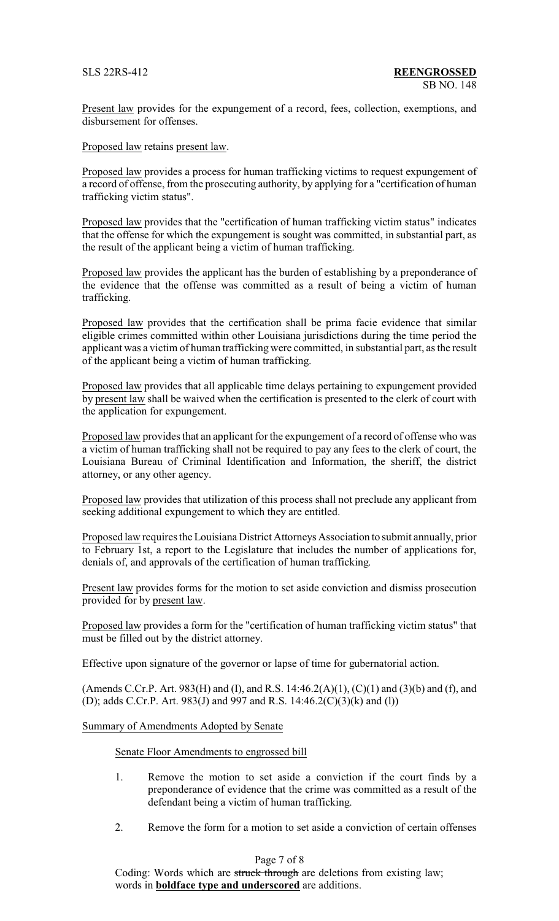Present law provides for the expungement of a record, fees, collection, exemptions, and disbursement for offenses.

Proposed law retains present law.

Proposed law provides a process for human trafficking victims to request expungement of a record of offense, from the prosecuting authority, by applying for a "certification of human trafficking victim status".

Proposed law provides that the "certification of human trafficking victim status" indicates that the offense for which the expungement is sought was committed, in substantial part, as the result of the applicant being a victim of human trafficking.

Proposed law provides the applicant has the burden of establishing by a preponderance of the evidence that the offense was committed as a result of being a victim of human trafficking.

Proposed law provides that the certification shall be prima facie evidence that similar eligible crimes committed within other Louisiana jurisdictions during the time period the applicant was a victim of human trafficking were committed, in substantial part, as the result of the applicant being a victim of human trafficking.

Proposed law provides that all applicable time delays pertaining to expungement provided by present law shall be waived when the certification is presented to the clerk of court with the application for expungement.

Proposed law provides that an applicant for the expungement of a record of offense who was a victim of human trafficking shall not be required to pay any fees to the clerk of court, the Louisiana Bureau of Criminal Identification and Information, the sheriff, the district attorney, or any other agency.

Proposed law provides that utilization of this process shall not preclude any applicant from seeking additional expungement to which they are entitled.

Proposed law requires the Louisiana District Attorneys Association to submit annually, prior to February 1st, a report to the Legislature that includes the number of applications for, denials of, and approvals of the certification of human trafficking.

Present law provides forms for the motion to set aside conviction and dismiss prosecution provided for by present law.

Proposed law provides a form for the "certification of human trafficking victim status" that must be filled out by the district attorney.

Effective upon signature of the governor or lapse of time for gubernatorial action.

(Amends C.Cr.P. Art. 983(H) and (I), and R.S. 14:46.2(A)(1), (C)(1) and (3)(b) and (f), and (D); adds C.Cr.P. Art. 983(J) and 997 and R.S. 14:46.2(C)(3)(k) and (l))

## Summary of Amendments Adopted by Senate

Senate Floor Amendments to engrossed bill

- 1. Remove the motion to set aside a conviction if the court finds by a preponderance of evidence that the crime was committed as a result of the defendant being a victim of human trafficking.
- 2. Remove the form for a motion to set aside a conviction of certain offenses

# Page 7 of 8

Coding: Words which are struck through are deletions from existing law; words in **boldface type and underscored** are additions.